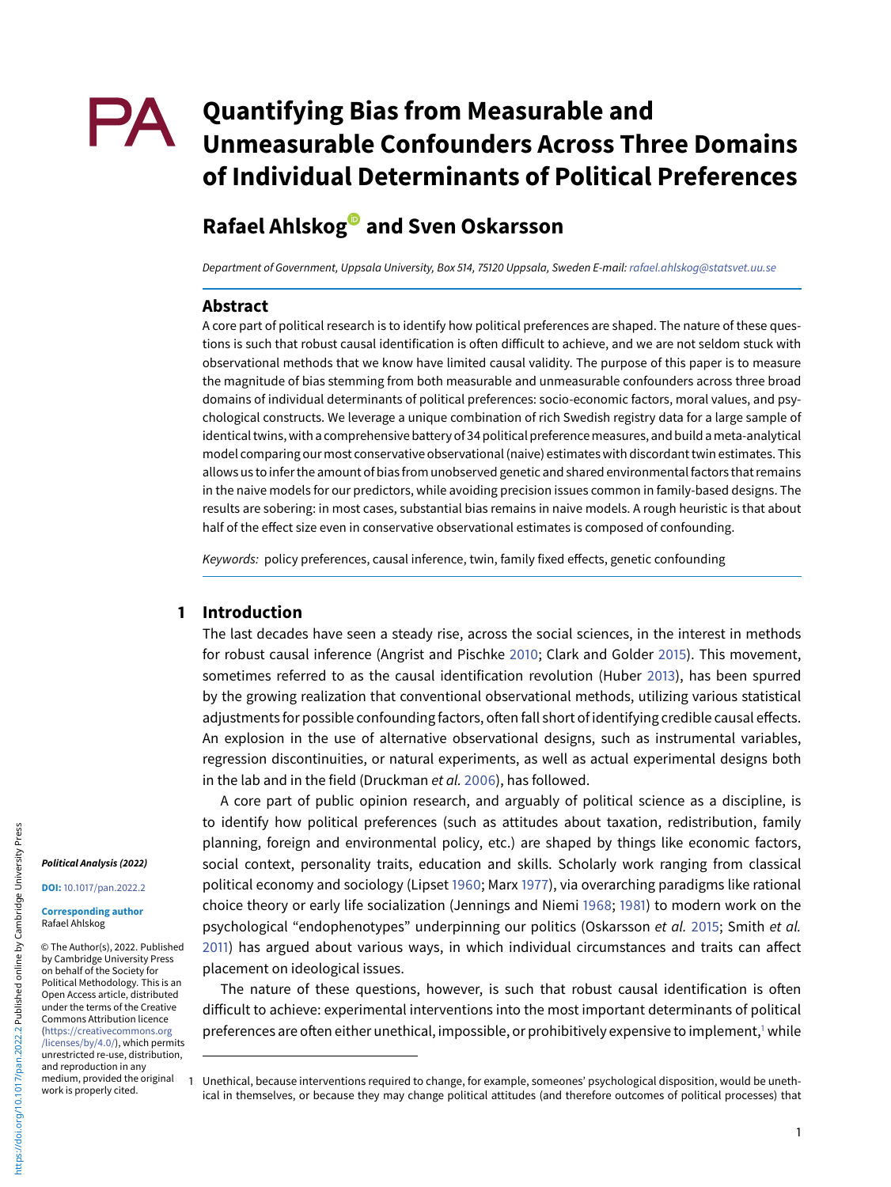# **PA** Quantifying Bias from Measurable and **Unmeasurable Confounders Across Three Domains of Individual Determinants of Political Preferences**

## **Rafael Ahlsko[g](https://orcid.org/0000-0002-4327-447X) and Sven Oskarsson**

Department of Government, Uppsala University, Box 514, 75120 Uppsala, Sweden E-mail: [rafael.ahlskog@statsvet.uu.se](mailto:rafael.ahlskog@statsvet.uu.se)

### **Abstract**

A core part of political research is to identify how political preferences are shaped. The nature of these questions is such that robust causal identification is often difficult to achieve, and we are not seldom stuck with observational methods that we know have limited causal validity. The purpose of this paper is to measure the magnitude of bias stemming from both measurable and unmeasurable confounders across three broad domains of individual determinants of political preferences: socio-economic factors, moral values, and psychological constructs. We leverage a unique combination of rich Swedish registry data for a large sample of identical twins, with a comprehensive battery of 34 political preferencemeasures, and build ameta-analytical model comparing our most conservative observational (naive) estimates with discordant twin estimates. This allows us to infer the amount of bias from unobserved genetic and shared environmental factors that remains in the naive models for our predictors, while avoiding precision issues common in family-based designs. The results are sobering: in most cases, substantial bias remains in naive models. A rough heuristic is that about half of the effect size even in conservative observational estimates is composed of confounding.

Keywords: policy preferences, causal inference, twin, family fixed effects, genetic confounding

#### **1 Introduction**

The last decades have seen a steady rise, across the social sciences, in the interest in methods for robust causal inference (Angrist and Pischke [2010;](#page-11-0) Clark and Golder [2015\)](#page-11-1). This movement, sometimes referred to as the causal identification revolution (Huber [2013\)](#page-12-0), has been spurred by the growing realization that conventional observational methods, utilizing various statistical adjustments for possible confounding factors, often fall short of identifying credible causal effects. An explosion in the use of alternative observational designs, such as instrumental variables, regression discontinuities, or natural experiments, as well as actual experimental designs both in the lab and in the field (Druckman et al. [2006\)](#page-11-2), has followed.

A core part of public opinion research, and arguably of political science as a discipline, is to identify how political preferences (such as attitudes about taxation, redistribution, family planning, foreign and environmental policy, etc.) are shaped by things like economic factors, social context, personality traits, education and skills. Scholarly work ranging from classical political economy and sociology (Lipset [1960;](#page-12-1) Marx [1977\)](#page-12-2), via overarching paradigms like rational choice theory or early life socialization (Jennings and Niemi [1968;](#page-12-3) [1981\)](#page-12-4) to modern work on the psychological "endophenotypes" underpinning our politics (Oskarsson et al. [2015;](#page-12-5) Smith et al. [2011\)](#page-12-6) has argued about various ways, in which individual circumstances and traits can affect placement on ideological issues.

The nature of these questions, however, is such that robust causal identification is often difficult to achieve: experimental interventions into the most important determinants of political preferences are often either unethical, impossible, or prohibitively expensive to implement,<sup>1</sup> while

#### **Political Analysis (2022)**

**DOI:** [10.1017/pan.2022.2](www.doi.org/10.1017/pan.2022.2)

© The Author(s), 2022. Published by Cambridge University Press on behalf of the Society for Political Methodology. This is an Open Access article, distributed under the terms of the Creative Commons Attribution licence (https://creativecommons.org [/licenses/by/4.0/\), which permi](https://creativecommons.org/licenses/by/4.0/)ts unrestricted re-use, distribution, and reproduction in any medium, provided the original work is properly cited.

<span id="page-0-0"></span><sup>1</sup> Unethical, because interventions required to change, for example, someones' psychological disposition, would be unethical in themselves, or because they may change political attitudes (and therefore outcomes of political processes) that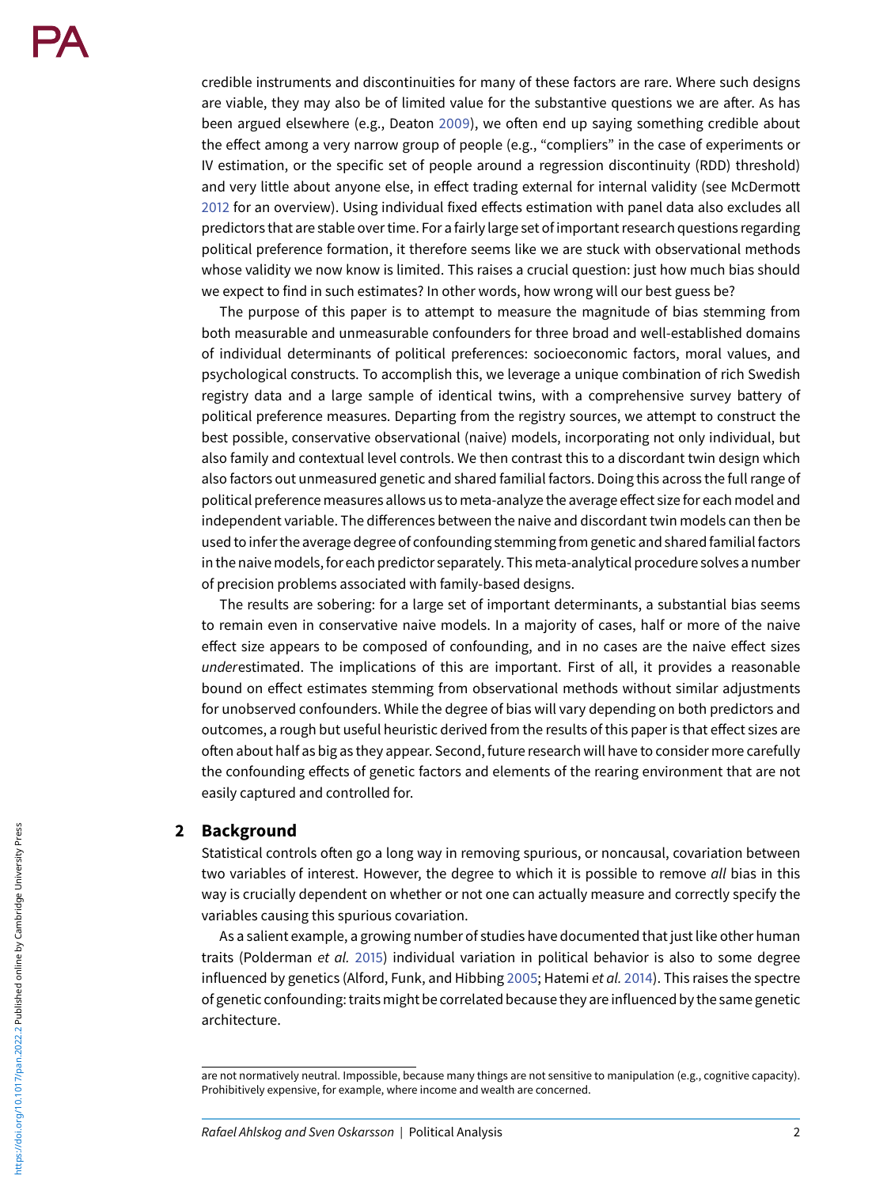credible instruments and discontinuities for many of these factors are rare. Where such designs are viable, they may also be of limited value for the substantive questions we are after. As has been argued elsewhere (e.g., Deaton [2009\)](#page-11-3), we often end up saying something credible about the effect among a very narrow group of people (e.g., "compliers" in the case of experiments or IV estimation, or the specific set of people around a regression discontinuity (RDD) threshold) and very little about anyone else, in effect trading external for internal validity (see McDermott [2012](#page-12-7) for an overview). Using individual fixed effects estimation with panel data also excludes all predictors that are stable over time. For a fairly large set of important research questions regarding political preference formation, it therefore seems like we are stuck with observational methods whose validity we now know is limited. This raises a crucial question: just how much bias should we expect to find in such estimates? In other words, how wrong will our best guess be?

The purpose of this paper is to attempt to measure the magnitude of bias stemming from both measurable and unmeasurable confounders for three broad and well-established domains of individual determinants of political preferences: socioeconomic factors, moral values, and psychological constructs. To accomplish this, we leverage a unique combination of rich Swedish registry data and a large sample of identical twins, with a comprehensive survey battery of political preference measures. Departing from the registry sources, we attempt to construct the best possible, conservative observational (naive) models, incorporating not only individual, but also family and contextual level controls. We then contrast this to a discordant twin design which also factors out unmeasured genetic and shared familial factors. Doing this across the full range of political preference measures allows us to meta-analyze the average effect size for each model and independent variable. The differences between the naive and discordant twin models can then be used to infer the average degree of confounding stemming from genetic and shared familial factors in the naive models, for each predictor separately. This meta-analytical procedure solves a number of precision problems associated with family-based designs.

The results are sobering: for a large set of important determinants, a substantial bias seems to remain even in conservative naive models. In a majority of cases, half or more of the naive effect size appears to be composed of confounding, and in no cases are the naive effect sizes underestimated. The implications of this are important. First of all, it provides a reasonable bound on effect estimates stemming from observational methods without similar adjustments for unobserved confounders. While the degree of bias will vary depending on both predictors and outcomes, a rough but useful heuristic derived from the results of this paper is that effect sizes are often about half as big as they appear. Second, future research will have to consider more carefully the confounding effects of genetic factors and elements of the rearing environment that are not easily captured and controlled for.

#### **2 Background**

Statistical controls often go a long way in removing spurious, or noncausal, covariation between two variables of interest. However, the degree to which it is possible to remove all bias in this way is crucially dependent on whether or not one can actually measure and correctly specify the variables causing this spurious covariation.

As a salient example, a growing number of studies have documented that just like other human traits (Polderman et al. [2015\)](#page-12-8) individual variation in political behavior is also to some degree influenced by genetics (Alford, Funk, and Hibbing [2005;](#page-11-4) Hatemi et al. [2014\)](#page-12-9). This raises the spectre of genetic confounding: traits might be correlated because they are influenced by the same genetic architecture.

are not normatively neutral. Impossible, because many things are not sensitive to manipulation (e.g., cognitive capacity). Prohibitively expensive, for example, where income and wealth are concerned.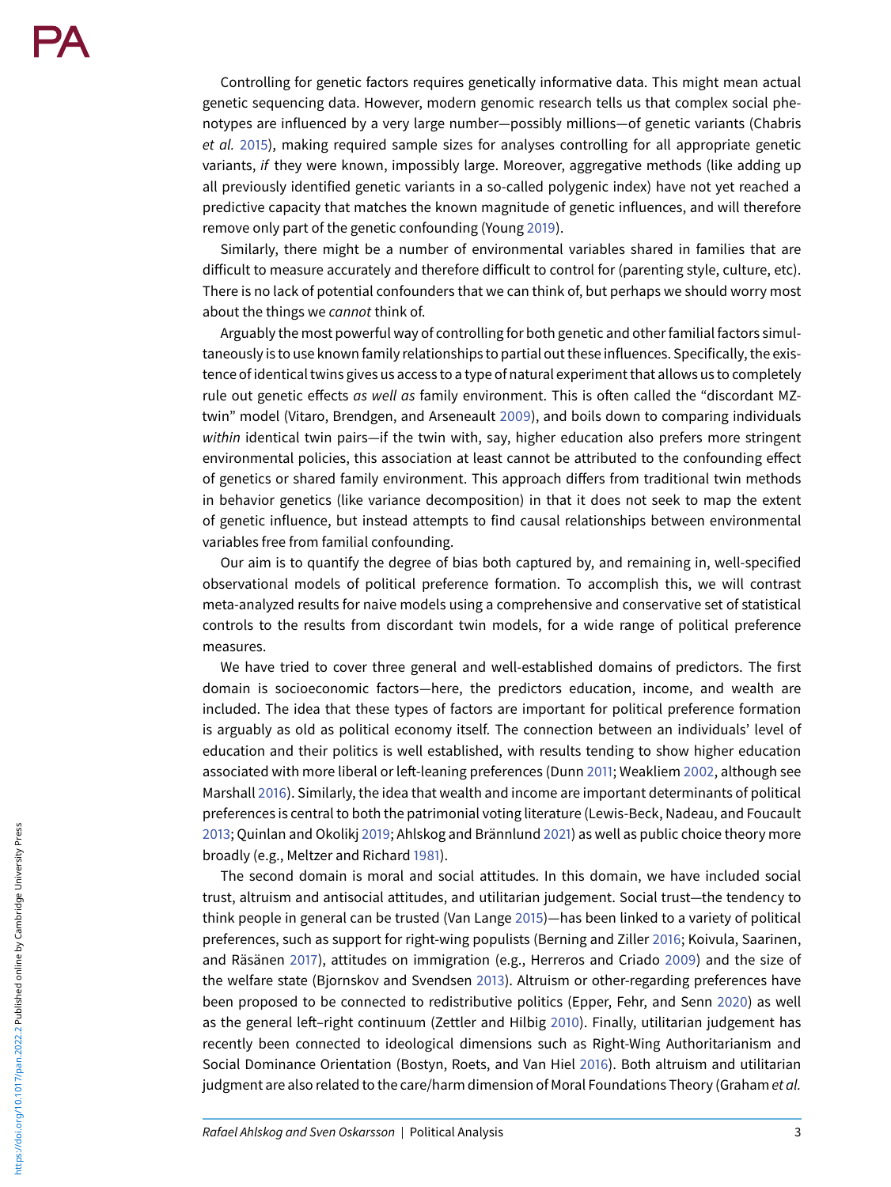Controlling for genetic factors requires genetically informative data. This might mean actual genetic sequencing data. However, modern genomic research tells us that complex social phenotypes are influenced by a very large number—possibly millions—of genetic variants (Chabris et al. [2015\)](#page-11-5), making required sample sizes for analyses controlling for all appropriate genetic variants, if they were known, impossibly large. Moreover, aggregative methods (like adding up all previously identified genetic variants in a so-called polygenic index) have not yet reached a predictive capacity that matches the known magnitude of genetic influences, and will therefore remove only part of the genetic confounding (Young [2019\)](#page-13-0).

Similarly, there might be a number of environmental variables shared in families that are difficult to measure accurately and therefore difficult to control for (parenting style, culture, etc). There is no lack of potential confounders that we can think of, but perhaps we should worry most about the things we cannot think of.

Arguably the most powerful way of controlling for both genetic and other familial factors simultaneously is to use known family relationships to partial out these influences. Specifically, the existence of identical twins gives us access to a type of natural experiment that allows us to completely rule out genetic effects as well as family environment. This is often called the "discordant MZtwin" model (Vitaro, Brendgen, and Arseneault [2009\)](#page-12-10), and boils down to comparing individuals within identical twin pairs—if the twin with, say, higher education also prefers more stringent environmental policies, this association at least cannot be attributed to the confounding effect of genetics or shared family environment. This approach differs from traditional twin methods in behavior genetics (like variance decomposition) in that it does not seek to map the extent of genetic influence, but instead attempts to find causal relationships between environmental variables free from familial confounding.

Our aim is to quantify the degree of bias both captured by, and remaining in, well-specified observational models of political preference formation. To accomplish this, we will contrast meta-analyzed results for naive models using a comprehensive and conservative set of statistical controls to the results from discordant twin models, for a wide range of political preference measures.

We have tried to cover three general and well-established domains of predictors. The first domain is socioeconomic factors—here, the predictors education, income, and wealth are included. The idea that these types of factors are important for political preference formation is arguably as old as political economy itself. The connection between an individuals' level of education and their politics is well established, with results tending to show higher education associated with more liberal or left-leaning preferences (Dunn [2011;](#page-12-11) Weakliem [2002,](#page-12-12) although see Marshall [2016\)](#page-12-13). Similarly, the idea that wealth and income are important determinants of political preferences is central to both the patrimonial voting literature (Lewis-Beck, Nadeau, and Foucault [2013;](#page-12-14) Quinlan and Okolikj [2019;](#page-12-15) Ahlskog and Brännlund [2021\)](#page-11-6) as well as public choice theory more broadly (e.g., Meltzer and Richard [1981\)](#page-12-16).

The second domain is moral and social attitudes. In this domain, we have included social trust, altruism and antisocial attitudes, and utilitarian judgement. Social trust—the tendency to think people in general can be trusted (Van Lange [2015\)](#page-12-17)—has been linked to a variety of political preferences, such as support for right-wing populists (Berning and Ziller [2016;](#page-11-7) Koivula, Saarinen, and Räsänen [2017\)](#page-12-18), attitudes on immigration (e.g., Herreros and Criado [2009\)](#page-12-19) and the size of the welfare state (Bjornskov and Svendsen [2013\)](#page-11-8). Altruism or other-regarding preferences have been proposed to be connected to redistributive politics (Epper, Fehr, and Senn [2020\)](#page-12-20) as well as the general left–right continuum (Zettler and Hilbig [2010\)](#page-13-1). Finally, utilitarian judgement has recently been connected to ideological dimensions such as Right-Wing Authoritarianism and Social Dominance Orientation (Bostyn, Roets, and Van Hiel [2016\)](#page-11-9). Both altruism and utilitarian judgment are also related to the care/harm dimension of Moral Foundations Theory (Graham et al.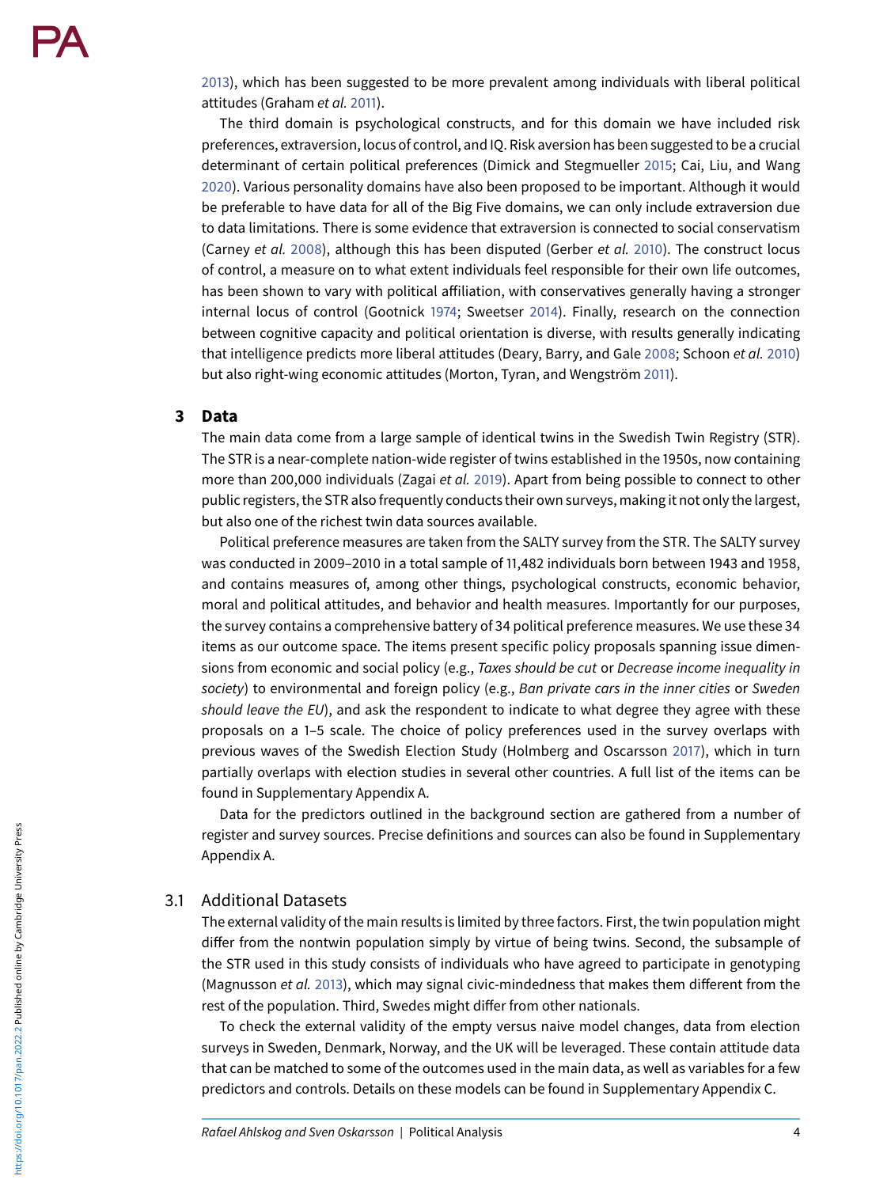[2013\)](#page-12-21), which has been suggested to be more prevalent among individuals with liberal political attitudes (Graham et al. [2011\)](#page-12-22).

The third domain is psychological constructs, and for this domain we have included risk preferences, extraversion, locus of control, and IQ. Risk aversion has been suggested to be a crucial determinant of certain political preferences (Dimick and Stegmueller [2015;](#page-11-10) Cai, Liu, and Wang [2020\)](#page-11-11). Various personality domains have also been proposed to be important. Although it would be preferable to have data for all of the Big Five domains, we can only include extraversion due to data limitations. There is some evidence that extraversion is connected to social conservatism (Carney et al. [2008\)](#page-11-12), although this has been disputed (Gerber et al. [2010\)](#page-12-23). The construct locus of control, a measure on to what extent individuals feel responsible for their own life outcomes, has been shown to vary with political affiliation, with conservatives generally having a stronger internal locus of control (Gootnick [1974;](#page-12-24) Sweetser [2014\)](#page-12-25). Finally, research on the connection between cognitive capacity and political orientation is diverse, with results generally indicating that intelligence predicts more liberal attitudes (Deary, Barry, and Gale [2008;](#page-11-13) Schoon et al. [2010\)](#page-12-26) but also right-wing economic attitudes (Morton, Tyran, and Wengström [2011\)](#page-12-27).

#### **3 Data**

The main data come from a large sample of identical twins in the Swedish Twin Registry (STR). The STR is a near-complete nation-wide register of twins established in the 1950s, now containing more than 200,000 individuals (Zagai et al. [2019\)](#page-13-2). Apart from being possible to connect to other public registers, the STR also frequently conducts their own surveys, making it not only the largest, but also one of the richest twin data sources available.

Political preference measures are taken from the SALTY survey from the STR. The SALTY survey was conducted in 2009–2010 in a total sample of 11,482 individuals born between 1943 and 1958, and contains measures of, among other things, psychological constructs, economic behavior, moral and political attitudes, and behavior and health measures. Importantly for our purposes, the survey contains a comprehensive battery of 34 political preference measures. We use these 34 items as our outcome space. The items present specific policy proposals spanning issue dimensions from economic and social policy (e.g., Taxes should be cut or Decrease income inequality in society) to environmental and foreign policy (e.g., Ban private cars in the inner cities or Sweden should leave the EU), and ask the respondent to indicate to what degree they agree with these proposals on a 1–5 scale. The choice of policy preferences used in the survey overlaps with previous waves of the Swedish Election Study (Holmberg and Oscarsson [2017\)](#page-12-28), which in turn partially overlaps with election studies in several other countries. A full list of the items can be found in Supplementary Appendix A.

Data for the predictors outlined in the background section are gathered from a number of register and survey sources. Precise definitions and sources can also be found in Supplementary Appendix A.

#### 3.1 Additional Datasets

The external validity of the main results is limited by three factors. First, the twin population might differ from the nontwin population simply by virtue of being twins. Second, the subsample of the STR used in this study consists of individuals who have agreed to participate in genotyping (Magnusson et al. [2013\)](#page-12-29), which may signal civic-mindedness that makes them different from the rest of the population. Third, Swedes might differ from other nationals.

To check the external validity of the empty versus naive model changes, data from election surveys in Sweden, Denmark, Norway, and the UK will be leveraged. These contain attitude data that can be matched to some of the outcomes used in the main data, as well as variables for a few predictors and controls. Details on these models can be found in Supplementary Appendix C.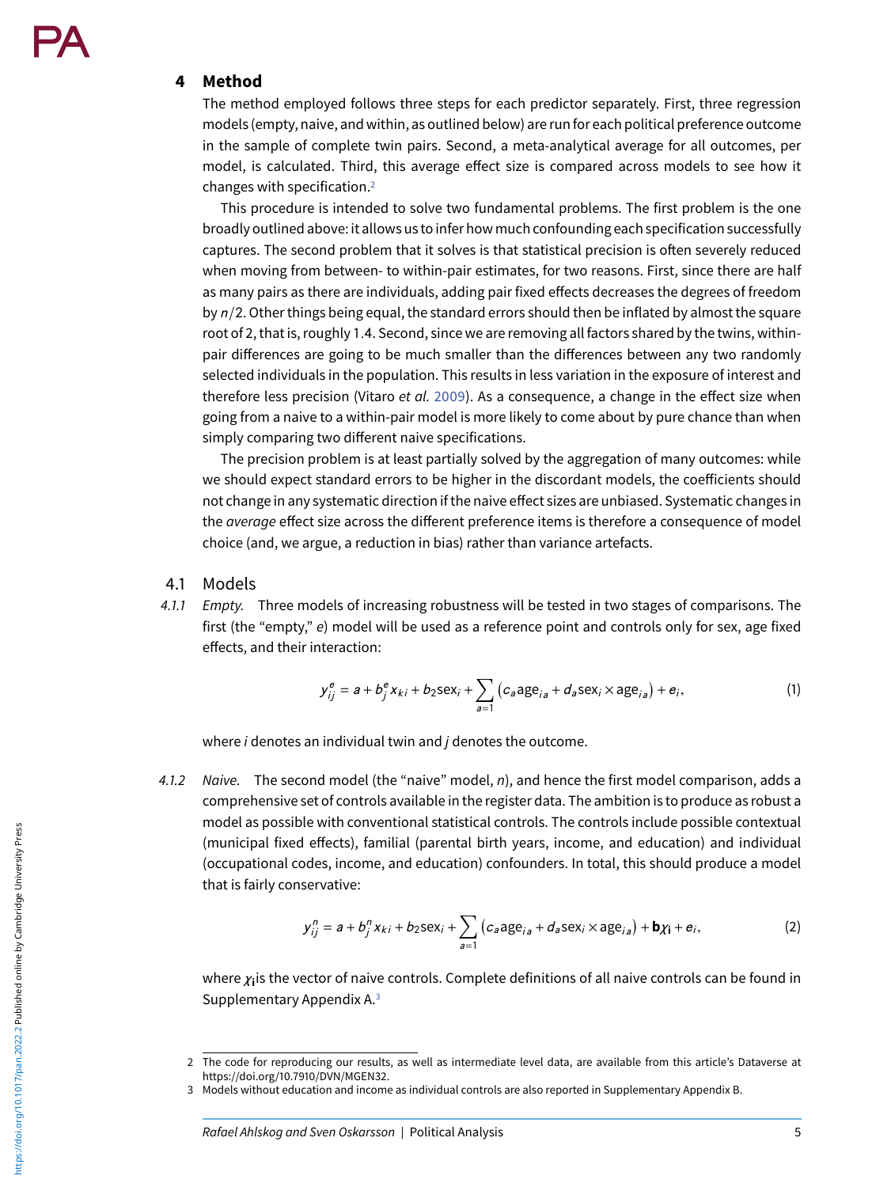#### **4 Method**

The method employed follows three steps for each predictor separately. First, three regression models (empty, naive, and within, as outlined below) are runfor each political preference outcome in the sample of complete twin pairs. Second, a meta-analytical average for all outcomes, per model, is calculated. Third, this average effect size is compared across models to see how it changes with specification[.2](#page-4-0)

This procedure is intended to solve two fundamental problems. The first problem is the one broadly outlined above: it allows us to infer how much confounding each specification successfully captures. The second problem that it solves is that statistical precision is often severely reduced when moving from between- to within-pair estimates, for two reasons. First, since there are half as many pairs as there are individuals, adding pair fixed effects decreases the degrees of freedom by  $n/2$ . Other things being equal, the standard errors should then be inflated by almost the square root of 2, that is, roughly 1.4. Second, since we are removing all factors shared by the twins, withinpair differences are going to be much smaller than the differences between any two randomly selected individuals in the population. This results in less variation in the exposure of interest and therefore less precision (Vitaro et al. [2009\)](#page-12-10). As a consequence, a change in the effect size when going from a naive to a within-pair model is more likely to come about by pure chance than when simply comparing two different naive specifications.

The precision problem is at least partially solved by the aggregation of many outcomes: while we should expect standard errors to be higher in the discordant models, the coefficients should not change in any systematic direction if the naive effect sizes are unbiased. Systematic changes in the *average* effect size across the different preference items is therefore a consequence of model choice (and, we argue, a reduction in bias) rather than variance artefacts.

- 4.1 Models
- 4.1.1 Empty. Three models of increasing robustness will be tested in two stages of comparisons. The first (the "empty," e) model will be used as a reference point and controls only for sex, age fixed effects, and their interaction:

$$
y_{ij}^{e} = a + b_{j}^{e} x_{ki} + b_{2} \text{sex}_{i} + \sum_{a=1}^{\infty} \left( c_{a} a_{j} e_{ia} + d_{a} \text{sex}_{i} \times a_{j} e_{ia} \right) + e_{i}, \tag{1}
$$

where  $i$  denotes an individual twin and  $j$  denotes the outcome.

4.1.2 Naive. The second model (the "naive" model,  $n$ ), and hence the first model comparison, adds a comprehensive set of controls available in the register data. The ambition is to produce as robust a model as possible with conventional statistical controls. The controls include possible contextual (municipal fixed effects), familial (parental birth years, income, and education) and individual (occupational codes, income, and education) confounders. In total, this should produce a model that is fairly conservative:

$$
y_{ij}^n = a + b_j^n x_{ki} + b_2 \text{sex}_i + \sum_{a=1}^n \left( c_a \text{age}_{ia} + d_a \text{sex}_i \times \text{age}_{ia} \right) + \mathbf{b} \chi_{\mathbf{i}} + \mathbf{e}_i,
$$
 (2)

where *χ***i**is the vector of naive controls. Complete definitions of all naive controls can be found in Supplementary Appendix A[.3](#page-4-1)

<span id="page-4-0"></span><sup>2</sup> The code for reproducing our results, as well as intermediate level data, are available from this article's Dataverse at https://doi.org/10.7910/DVN/MGEN32.

<span id="page-4-1"></span><sup>3</sup> Models without education and income as individual controls are also reported in Supplementary Appendix B.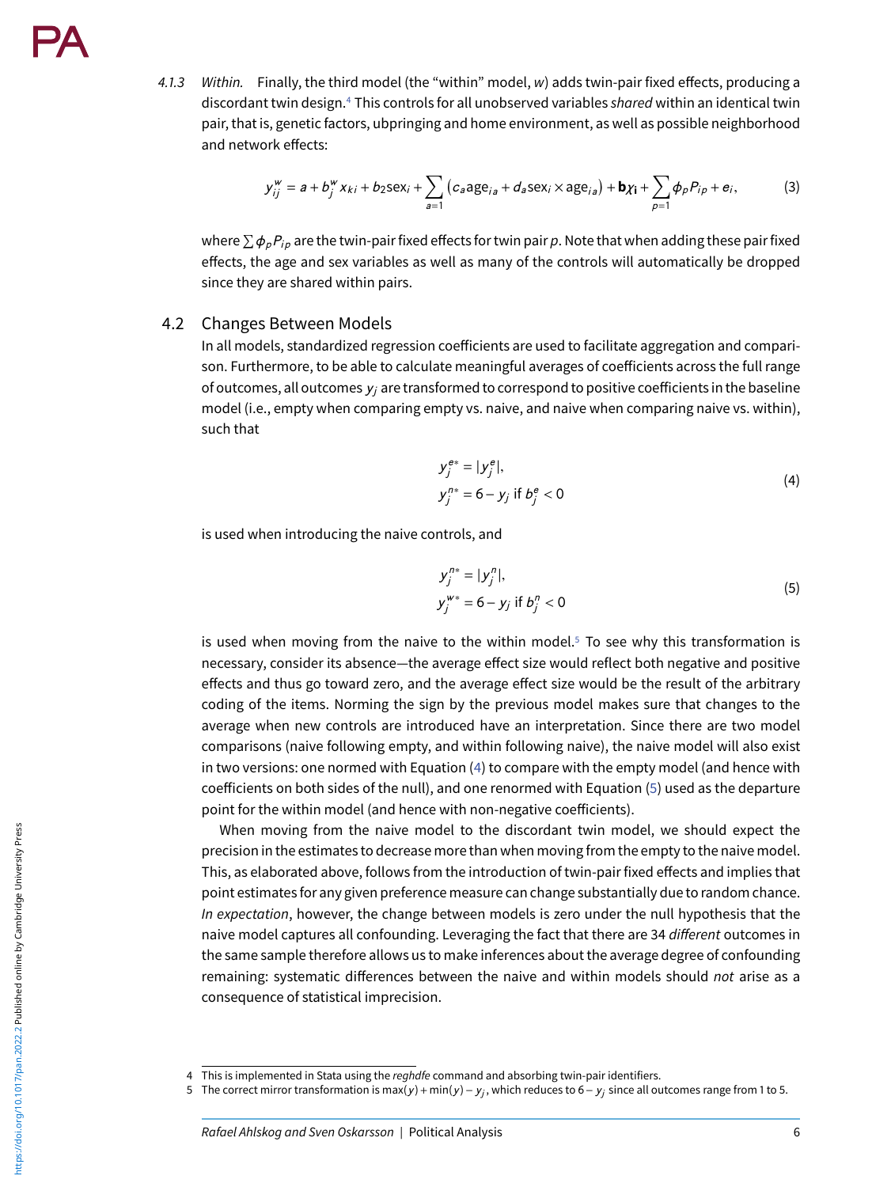4.1.3 Within. Finally, the third model (the "within" model, w) adds twin-pair fixed effects, producing a discordant twin design.<sup>4</sup> This controls for all unobserved variables shared within an identical twin pair, that is, genetic factors, ubpringing and home environment, as well as possible neighborhood and network effects:

$$
y_{ij}^{w} = a + b_{j}^{w} x_{ki} + b_{2} \text{sex}_{i} + \sum_{a=1}^{\infty} (c_{a} a_{j} e_{ia} + d_{a} \text{sex}_{i} \times a_{j} e_{ia}) + b_{i} x_{i} + \sum_{p=1}^{\infty} \phi_{p} P_{ip} + e_{i},
$$
 (3)

where  $\sum \phi_p P_{ip}$  are the twin-pair fixed effects for twin pair p. Note that when adding these pair fixed effects, the age and sex variables as well as many of the controls will automatically be dropped since they are shared within pairs.

#### 4.2 Changes Between Models

In all models, standardized regression coefficients are used to facilitate aggregation and comparison. Furthermore, to be able to calculate meaningful averages of coefficients across the full range of outcomes, all outcomes *yj* are transformed to correspond to positive coefficients in the baseline model (i.e., empty when comparing empty vs. naive, and naive when comparing naive vs. within), such that

$$
y_j^{e*} = |y_j^{e}|,
$$
  
\n
$$
y_j^{n*} = 6 - y_j \text{ if } b_j^{e} < 0
$$
\n(4)

<span id="page-5-2"></span>is used when introducing the naive controls, and

<span id="page-5-3"></span>
$$
y_j^{n*} = |y_j^n|,
$$
  
\n
$$
y_j^{w*} = 6 - y_j \text{ if } b_j^n < 0
$$
\n(5)

is used when moving from the naive to the within model. $5$  To see why this transformation is necessary, consider its absence—the average effect size would reflect both negative and positive effects and thus go toward zero, and the average effect size would be the result of the arbitrary coding of the items. Norming the sign by the previous model makes sure that changes to the average when new controls are introduced have an interpretation. Since there are two model comparisons (naive following empty, and within following naive), the naive model will also exist in two versions: one normed with Equation [\(4\)](#page-5-2) to compare with the empty model (and hence with coefficients on both sides of the null), and one renormed with Equation [\(5\)](#page-5-3) used as the departure point for the within model (and hence with non-negative coefficients).

When moving from the naive model to the discordant twin model, we should expect the precision in the estimates to decrease more than when moving from the empty to the naive model. This, as elaborated above, follows from the introduction of twin-pair fixed effects and implies that point estimates for any given preference measure can change substantially due to random chance. In expectation, however, the change between models is zero under the null hypothesis that the naive model captures all confounding. Leveraging the fact that there are 34 different outcomes in the same sample therefore allows us to make inferences about the average degree of confounding remaining: systematic differences between the naive and within models should not arise as a consequence of statistical imprecision.

<span id="page-5-1"></span><span id="page-5-0"></span><sup>4</sup> This is implemented in Stata using the reghdfe command and absorbing twin-pair identifiers.

<sup>5</sup> The correct mirror transformation is max(*y* )+ min(*y* )− *yj* , which reduces to 6− *yj* since all outcomes range from 1 to 5.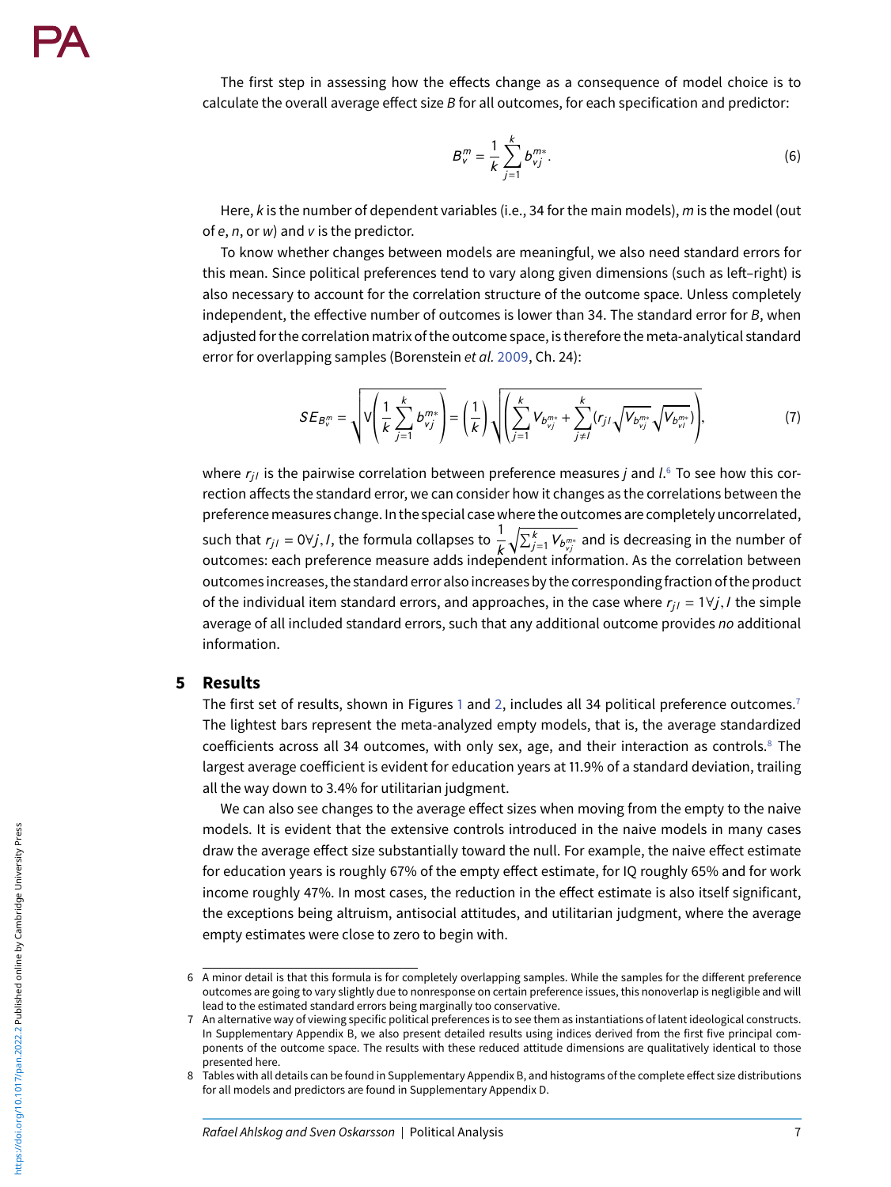The first step in assessing how the effects change as a consequence of model choice is to calculate the overall average effect size B for all outcomes, for each specification and predictor:

$$
B_v^m = \frac{1}{k} \sum_{j=1}^k b_{vj}^{m*}.
$$
 (6)

Here,  $k$  is the number of dependent variables (i.e., 34 for the main models),  $m$  is the model (out of  $e, n$ , or  $w$ ) and  $v$  is the predictor.

To know whether changes between models are meaningful, we also need standard errors for this mean. Since political preferences tend to vary along given dimensions (such as left–right) is also necessary to account for the correlation structure of the outcome space. Unless completely independent, the effective number of outcomes is lower than 34. The standard error for  $B$ , when adjusted for the correlation matrix of the outcome space, is therefore the meta-analytical standard error for overlapping samples (Borenstein et al. [2009,](#page-11-14) Ch. 24):

$$
SE_{B_v^m} = \sqrt{V\left(\frac{1}{k}\sum_{j=1}^k b_{vj}^{m*}\right)} = \left(\frac{1}{k}\right)\sqrt{\left(\sum_{j=1}^k V_{b_{vj}^{m*}} + \sum_{j\neq l}^k (r_{jl}\sqrt{V_{b_{vj}^{m*}}\sqrt{V_{b_{vi}^{m*}}}})\right)},
$$
(7)

where  $r_{ii}$  is the pairwise correlation between preference measures *j* and *l*.<sup>[6](#page-6-0)</sup> To see how this correction affects the standard error, we can consider how it changes as the correlations between the preferencemeasures change. In the special case where the outcomes are completely uncorrelated, such that  $r_{j,l} = 0 \forall j,l$ , the formula collapses to  $\frac{1}{k} \sqrt{\sum_{j=1}^{k} V_{b_{vj}^{m*}}}$  and is decreasing in the number of outcomes: each preference measure adds independent information. As the correlation between outcomes increases, the standard error also increases by the correspondingfraction of the product of the individual item standard errors, and approaches, in the case where  $r_{i,j} = 1 \forall j, l$  the simple average of all included standard errors, such that any additional outcome provides no additional information.

#### **5 Results**

The first set of results, shown in Figures [1](#page-7-0) and [2,](#page-7-1) includes all 34 political preference outcomes.<sup>7</sup> The lightest bars represent the meta-analyzed empty models, that is, the average standardized coefficients across all 34 outcomes, with only sex, age, and their interaction as controls.<sup>8</sup> The largest average coefficient is evident for education years at 11.9% of a standard deviation, trailing all the way down to 3.4% for utilitarian judgment.

We can also see changes to the average effect sizes when moving from the empty to the naive models. It is evident that the extensive controls introduced in the naive models in many cases draw the average effect size substantially toward the null. For example, the naive effect estimate for education years is roughly 67% of the empty effect estimate, for IQ roughly 65% and for work income roughly 47%. In most cases, the reduction in the effect estimate is also itself significant, the exceptions being altruism, antisocial attitudes, and utilitarian judgment, where the average empty estimates were close to zero to begin with.

<span id="page-6-0"></span><sup>6</sup> A minor detail is that this formula is for completely overlapping samples. While the samples for the different preference outcomes are going to vary slightly due to nonresponse on certain preference issues, this nonoverlap is negligible and will lead to the estimated standard errors being marginally too conservative.

<span id="page-6-1"></span><sup>7</sup> An alternative way of viewing specific political preferences is to see them as instantiations of latent ideological constructs. In Supplementary Appendix B, we also present detailed results using indices derived from the first five principal components of the outcome space. The results with these reduced attitude dimensions are qualitatively identical to those presented here.

<span id="page-6-2"></span><sup>8</sup> Tables with all details can be found in Supplementary Appendix B, and histograms of the complete effect size distributions for all models and predictors are found in Supplementary Appendix D.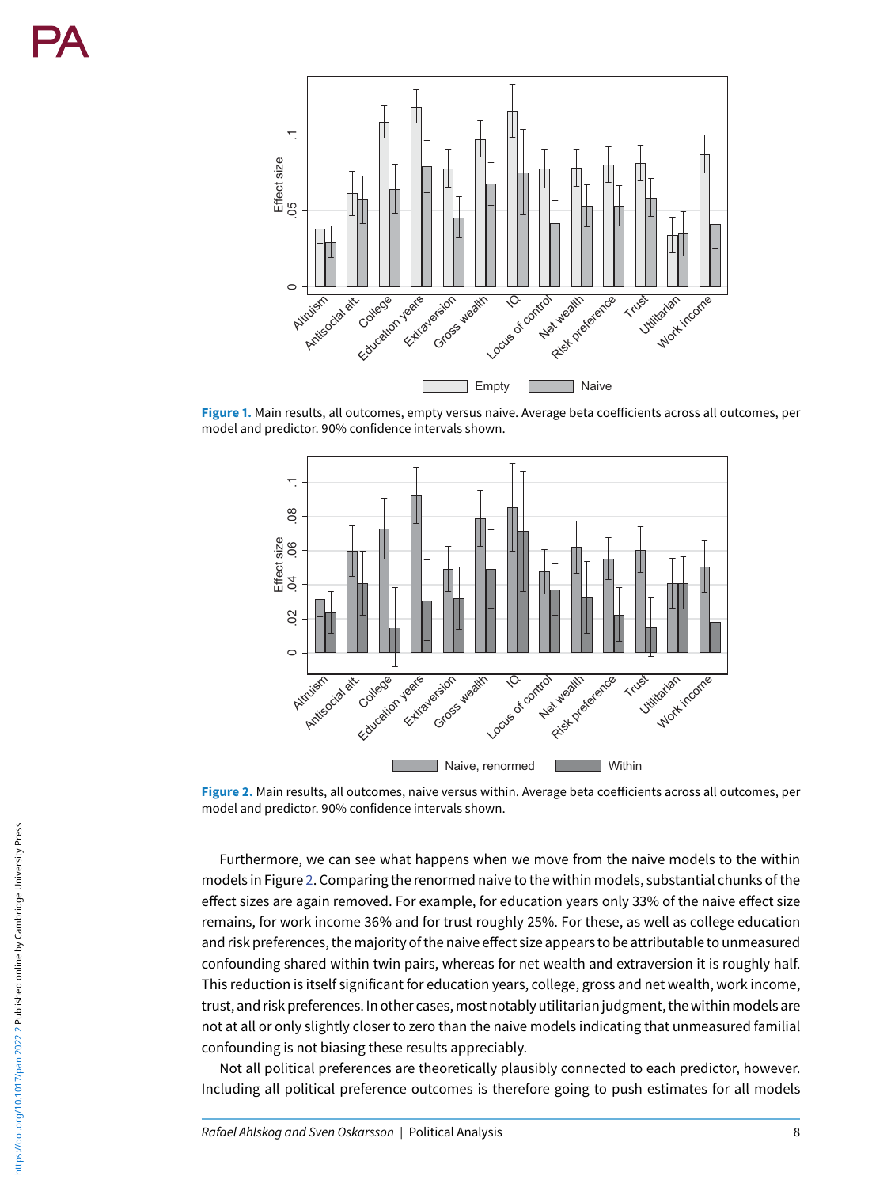<span id="page-7-0"></span>

<span id="page-7-1"></span>**Figure 1.** Main results, all outcomes, empty versus naive. Average beta coefficients across all outcomes, per model and predictor. 90% confidence intervals shown.



**Figure 2.** Main results, all outcomes, naive versus within. Average beta coefficients across all outcomes, per model and predictor. 90% confidence intervals shown.

Furthermore, we can see what happens when we move from the naive models to the within models in Figure [2.](#page-7-1) Comparing the renormed naive to the within models, substantial chunks of the effect sizes are again removed. For example, for education years only 33% of the naive effect size remains, for work income 36% and for trust roughly 25%. For these, as well as college education and risk preferences, the majority of the naive effect size appears to be attributable to unmeasured confounding shared within twin pairs, whereas for net wealth and extraversion it is roughly half. This reduction is itself significant for education years, college, gross and net wealth, work income, trust, and risk preferences. In other cases, most notably utilitarian judgment, the within models are not at all or only slightly closer to zero than the naive models indicating that unmeasured familial confounding is not biasing these results appreciably.

Not all political preferences are theoretically plausibly connected to each predictor, however. Including all political preference outcomes is therefore going to push estimates for all models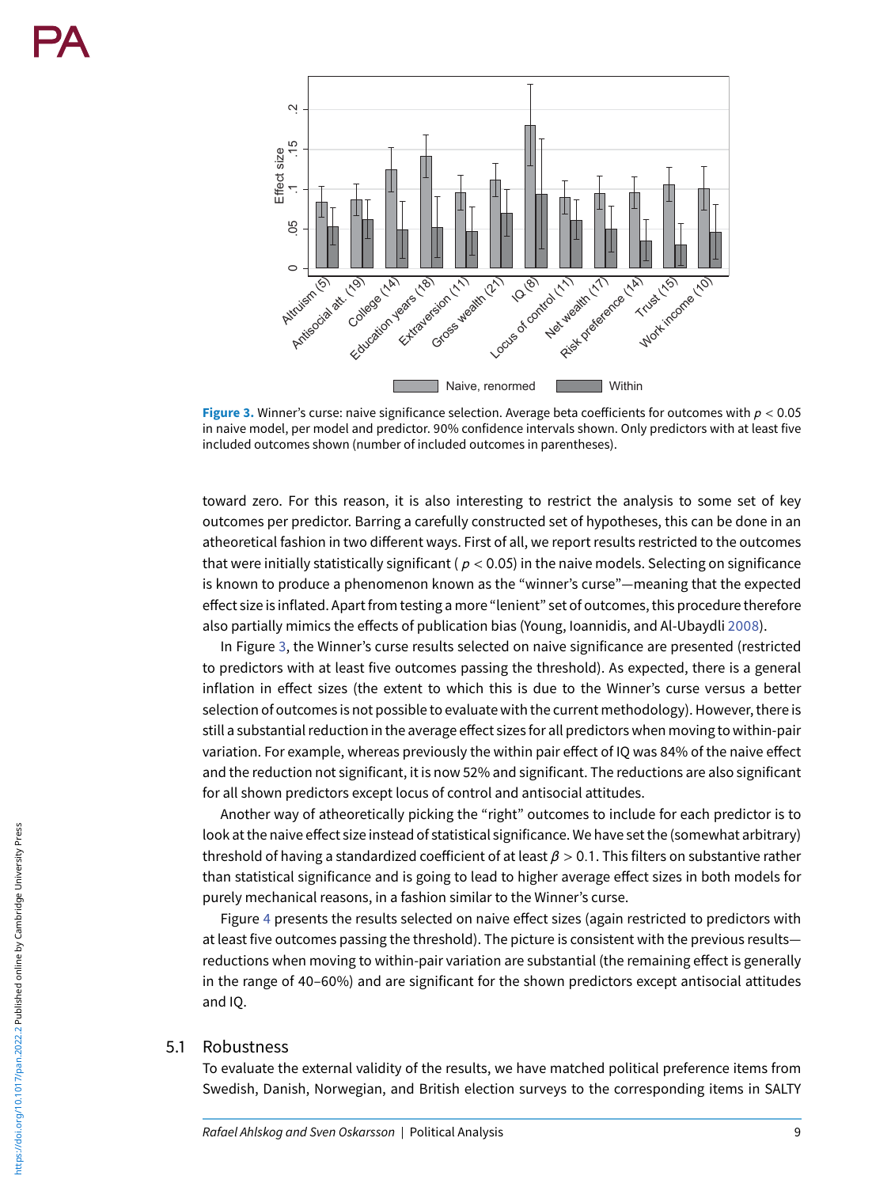<span id="page-8-0"></span>

**Figure 3.** Winner's curse: naive significance selection. Average beta coefficients for outcomes with *p* < 0.05 in naive model, per model and predictor. 90% confidence intervals shown. Only predictors with at least five included outcomes shown (number of included outcomes in parentheses).

toward zero. For this reason, it is also interesting to restrict the analysis to some set of key outcomes per predictor. Barring a carefully constructed set of hypotheses, this can be done in an atheoretical fashion in two different ways. First of all, we report results restricted to the outcomes that were initially statistically significant ( $p < 0.05$ ) in the naive models. Selecting on significance is known to produce a phenomenon known as the "winner's curse"—meaning that the expected effect size is inflated. Apart from testing a more "lenient" set of outcomes, this procedure therefore also partially mimics the effects of publication bias (Young, Ioannidis, and Al-Ubaydli [2008\)](#page-13-3).

In Figure [3,](#page-8-0) the Winner's curse results selected on naive significance are presented (restricted to predictors with at least five outcomes passing the threshold). As expected, there is a general inflation in effect sizes (the extent to which this is due to the Winner's curse versus a better selection of outcomes is not possible to evaluate with the current methodology). However, there is still a substantial reduction in the average effect sizes for all predictors when moving to within-pair variation. For example, whereas previously the within pair effect of IQ was 84% of the naive effect and the reduction not significant, it is now 52% and significant. The reductions are also significant for all shown predictors except locus of control and antisocial attitudes.

Another way of atheoretically picking the "right" outcomes to include for each predictor is to look at the naive effect size instead of statistical significance. We have set the (somewhat arbitrary) threshold of having a standardized coefficient of at least *β* > 0.1. This filters on substantive rather than statistical significance and is going to lead to higher average effect sizes in both models for purely mechanical reasons, in a fashion similar to the Winner's curse.

Figure [4](#page-9-0) presents the results selected on naive effect sizes (again restricted to predictors with at least five outcomes passing the threshold). The picture is consistent with the previous results reductions when moving to within-pair variation are substantial (the remaining effect is generally in the range of 40–60%) and are significant for the shown predictors except antisocial attitudes and IQ.

#### 5.1 Robustness

To evaluate the external validity of the results, we have matched political preference items from Swedish, Danish, Norwegian, and British election surveys to the corresponding items in SALTY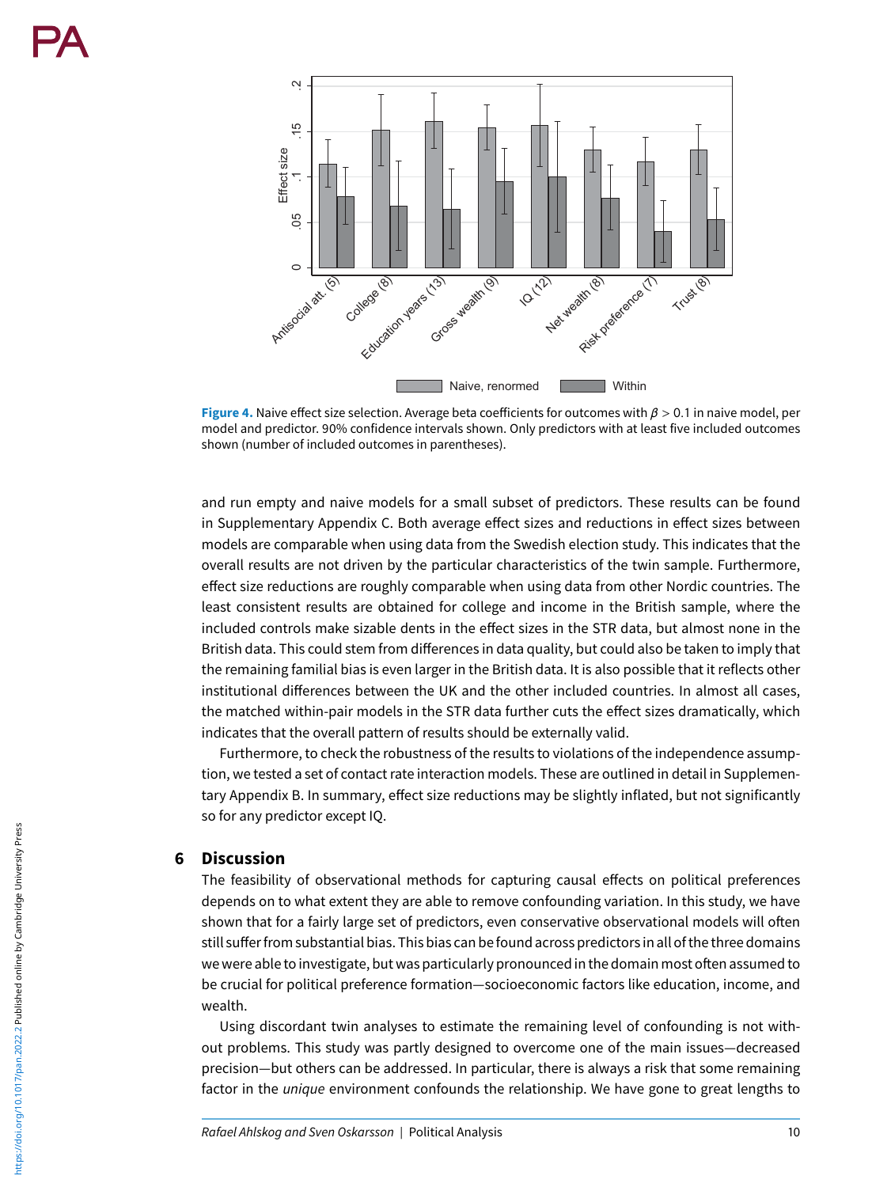<span id="page-9-0"></span>

**Figure 4.** Naive effect size selection. Average beta coefficients for outcomes with *β* > 0.1 in naive model, per model and predictor. 90% confidence intervals shown. Only predictors with at least five included outcomes shown (number of included outcomes in parentheses).

and run empty and naive models for a small subset of predictors. These results can be found in Supplementary Appendix C. Both average effect sizes and reductions in effect sizes between models are comparable when using data from the Swedish election study. This indicates that the overall results are not driven by the particular characteristics of the twin sample. Furthermore, effect size reductions are roughly comparable when using data from other Nordic countries. The least consistent results are obtained for college and income in the British sample, where the included controls make sizable dents in the effect sizes in the STR data, but almost none in the British data. This could stem from differences in data quality, but could also be taken to imply that the remaining familial bias is even larger in the British data. It is also possible that it reflects other institutional differences between the UK and the other included countries. In almost all cases, the matched within-pair models in the STR data further cuts the effect sizes dramatically, which indicates that the overall pattern of results should be externally valid.

Furthermore, to check the robustness of the results to violations of the independence assumption, we tested a set of contact rate interaction models. These are outlined in detail in Supplementary Appendix B. In summary, effect size reductions may be slightly inflated, but not significantly so for any predictor except IQ.

#### **6 Discussion**

The feasibility of observational methods for capturing causal effects on political preferences depends on to what extent they are able to remove confounding variation. In this study, we have shown that for a fairly large set of predictors, even conservative observational models will often still sufferfrom substantial bias. This bias can befound across predictors in all of the three domains we were able to investigate, but was particularly pronounced in the domain most often assumed to be crucial for political preference formation—socioeconomic factors like education, income, and wealth.

Using discordant twin analyses to estimate the remaining level of confounding is not without problems. This study was partly designed to overcome one of the main issues—decreased precision—but others can be addressed. In particular, there is always a risk that some remaining factor in the unique environment confounds the relationship. We have gone to great lengths to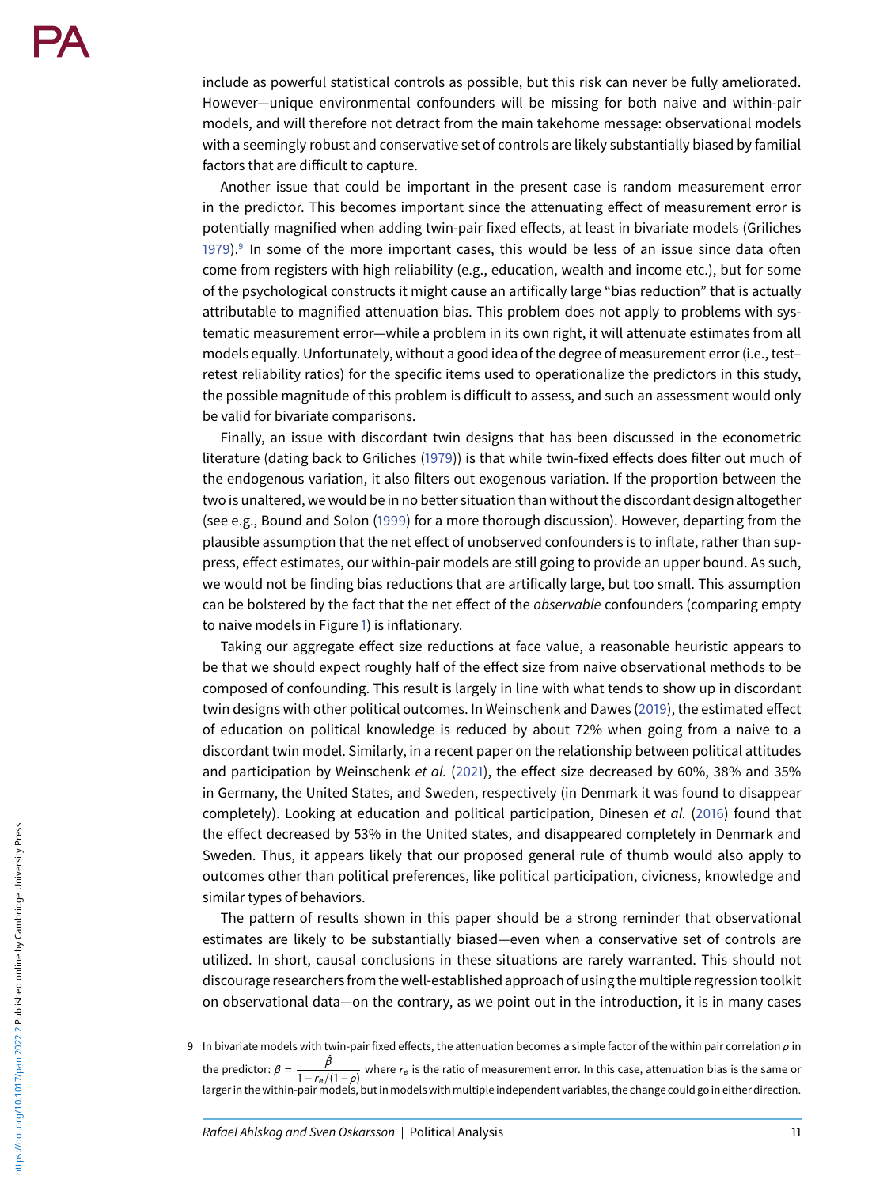include as powerful statistical controls as possible, but this risk can never be fully ameliorated. However—unique environmental confounders will be missing for both naive and within-pair models, and will therefore not detract from the main takehome message: observational models with a seemingly robust and conservative set of controls are likely substantially biased by familial factors that are difficult to capture.

Another issue that could be important in the present case is random measurement error in the predictor. This becomes important since the attenuating effect of measurement error is potentially magnified when adding twin-pair fixed effects, at least in bivariate models (Griliches [1979\)](#page-12-30). $9$  In some of the more important cases, this would be less of an issue since data often come from registers with high reliability (e.g., education, wealth and income etc.), but for some of the psychological constructs it might cause an artifically large "bias reduction" that is actually attributable to magnified attenuation bias. This problem does not apply to problems with systematic measurement error—while a problem in its own right, it will attenuate estimates from all models equally. Unfortunately, without a good idea of the degree of measurement error (i.e., test– retest reliability ratios) for the specific items used to operationalize the predictors in this study, the possible magnitude of this problem is difficult to assess, and such an assessment would only be valid for bivariate comparisons.

Finally, an issue with discordant twin designs that has been discussed in the econometric literature (dating back to Griliches [\(1979\)](#page-12-30)) is that while twin-fixed effects does filter out much of the endogenous variation, it also filters out exogenous variation. If the proportion between the two is unaltered, we would be in no better situation than without the discordant design altogether (see e.g., Bound and Solon [\(1999\)](#page-11-15) for a more thorough discussion). However, departing from the plausible assumption that the net effect of unobserved confounders is to inflate, rather than suppress, effect estimates, our within-pair models are still going to provide an upper bound. As such, we would not be finding bias reductions that are artifically large, but too small. This assumption can be bolstered by the fact that the net effect of the *observable* confounders (comparing empty to naive models in Figure [1\)](#page-7-0) is inflationary.

Taking our aggregate effect size reductions at face value, a reasonable heuristic appears to be that we should expect roughly half of the effect size from naive observational methods to be composed of confounding. This result is largely in line with what tends to show up in discordant twin designs with other political outcomes. In Weinschenk and Dawes [\(2019\)](#page-13-4), the estimated effect of education on political knowledge is reduced by about 72% when going from a naive to a discordant twin model. Similarly, in a recent paper on the relationship between political attitudes and participation by Weinschenk et al. [\(2021\)](#page-13-5), the effect size decreased by 60%, 38% and 35% in Germany, the United States, and Sweden, respectively (in Denmark it was found to disappear completely). Looking at education and political participation, Dinesen et al. [\(2016\)](#page-11-16) found that the effect decreased by 53% in the United states, and disappeared completely in Denmark and Sweden. Thus, it appears likely that our proposed general rule of thumb would also apply to outcomes other than political preferences, like political participation, civicness, knowledge and similar types of behaviors.

The pattern of results shown in this paper should be a strong reminder that observational estimates are likely to be substantially biased—even when a conservative set of controls are utilized. In short, causal conclusions in these situations are rarely warranted. This should not discourage researchersfrom the well-established approach of using themultiple regression toolkit on observational data—on the contrary, as we point out in the introduction, it is in many cases

<span id="page-10-0"></span><sup>9</sup> In bivariate models with twin-pair fixed effects, the attenuation becomes a simple factor of the within pair correlation *ρ* in the predictor:  $\beta = \frac{\hat{\beta}}{1 - r_e/(1 - \rho)}$  where  $r_e$  is the ratio of measurement error. In this case, attenuation bias is the same or larger in the within-pair models, but in models with multiple independent variables, the change could go in either direction.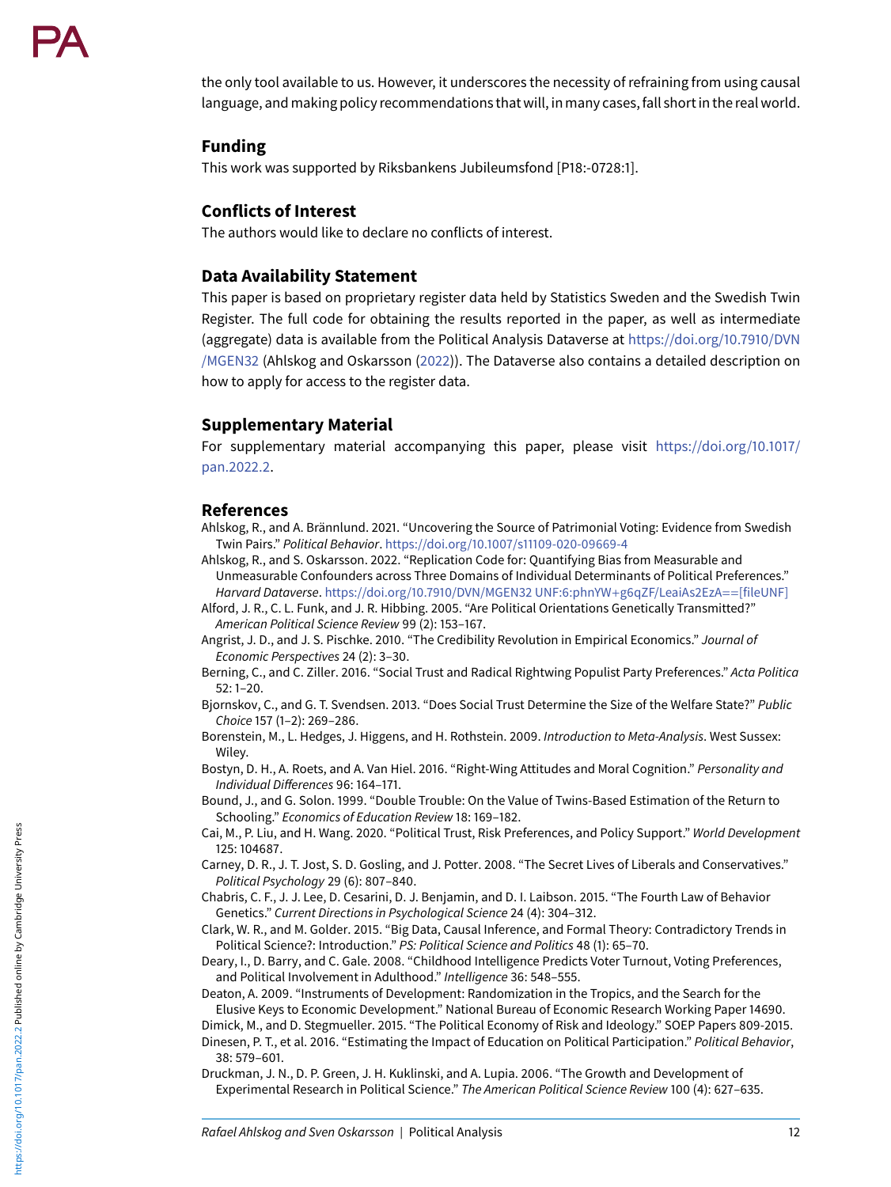the only tool available to us. However, it underscores the necessity of refraining from using causal language, and making policy recommendations that will, in many cases,fall short in the real world.

#### **Funding**

This work was supported by Riksbankens Jubileumsfond [P18:-0728:1].

#### **Conflicts of Interest**

The authors would like to declare no conflicts of interest.

#### **Data Availability Statement**

This paper is based on proprietary register data held by Statistics Sweden and the Swedish Twin Register. The full code for obtaining the results reported in the paper, as well as intermediate (aggregate) data is available from the Political Analysis Dataverse at https://doi.org/10.7910/DVN /MGEN32 [\(Ahlskog and Oskarsson \(2022\)\). The Dataverse also contains a detailed description on](https://doi.org/10.7910/DVN/MGEN32) how to apply for access to the register data.

### **Supplementary Material**

[For supplementary material accompanying this paper, please visit](https://doi.org/10.1017/pan.2022.2) https://doi.org/10.1017/ pan.2022.2.

### **References**

- <span id="page-11-6"></span>Ahlskog, R., and A. Brännlund. 2021. "Uncovering the Source of Patrimonial Voting: Evidence from Swedish Twin Pairs." Political Behavior. <https://doi.org/10.1007/s11109-020-09669-4>
- <span id="page-11-17"></span>Ahlskog, R., and S. Oskarsson. 2022. "Replication Code for: Quantifying Bias from Measurable and Unmeasurable Confounders across Three Domains of Individual Determinants of Political Preferences." Harvard Dataverse. [https://doi.org/10.7910/DVN/MGEN32 UNF:6:phnYW](https://doi.org/10.7910/DVN/MGEN32%20UNF:6:phnYW$+$g6qZF/LeaiAs2EzA$==$%5bfileUNF%5d)+g6qZF/LeaiAs2EzA==[fileUNF]
- <span id="page-11-4"></span>Alford, J. R., C. L. Funk, and J. R. Hibbing. 2005. "Are Political Orientations Genetically Transmitted?" American Political Science Review 99 (2): 153–167.
- <span id="page-11-0"></span>Angrist, J. D., and J. S. Pischke. 2010. "The Credibility Revolution in Empirical Economics." Journal of Economic Perspectives 24 (2): 3–30.
- <span id="page-11-7"></span>Berning, C., and C. Ziller. 2016. "Social Trust and Radical Rightwing Populist Party Preferences." Acta Politica 52: 1–20.
- <span id="page-11-8"></span>Bjornskov, C., and G. T. Svendsen. 2013. "Does Social Trust Determine the Size of the Welfare State?" Public Choice 157 (1–2): 269–286.
- <span id="page-11-14"></span>Borenstein, M., L. Hedges, J. Higgens, and H. Rothstein. 2009. Introduction to Meta-Analysis. West Sussex: Wiley.
- <span id="page-11-9"></span>Bostyn, D. H., A. Roets, and A. Van Hiel. 2016. "Right-Wing Attitudes and Moral Cognition." Personality and Individual Differences 96: 164–171.
- <span id="page-11-15"></span>Bound, J., and G. Solon. 1999. "Double Trouble: On the Value of Twins-Based Estimation of the Return to Schooling." Economics of Education Review 18: 169–182.
- <span id="page-11-11"></span>Cai, M., P. Liu, and H. Wang. 2020. "Political Trust, Risk Preferences, and Policy Support." World Development 125: 104687.
- <span id="page-11-12"></span>Carney, D. R., J. T. Jost, S. D. Gosling, and J. Potter. 2008. "The Secret Lives of Liberals and Conservatives." Political Psychology 29 (6): 807–840.

<span id="page-11-5"></span>Chabris, C. F., J. J. Lee, D. Cesarini, D. J. Benjamin, and D. I. Laibson. 2015. "The Fourth Law of Behavior Genetics." Current Directions in Psychological Science 24 (4): 304–312.

- <span id="page-11-1"></span>Clark, W. R., and M. Golder. 2015. "Big Data, Causal Inference, and Formal Theory: Contradictory Trends in Political Science?: Introduction." PS: Political Science and Politics 48 (1): 65–70.
- <span id="page-11-13"></span>Deary, I., D. Barry, and C. Gale. 2008. "Childhood Intelligence Predicts Voter Turnout, Voting Preferences, and Political Involvement in Adulthood." Intelligence 36: 548–555.

<span id="page-11-3"></span>Deaton, A. 2009. "Instruments of Development: Randomization in the Tropics, and the Search for the Elusive Keys to Economic Development." National Bureau of Economic Research Working Paper 14690.

<span id="page-11-10"></span>Dimick, M., and D. Stegmueller. 2015. "The Political Economy of Risk and Ideology." SOEP Papers 809-2015.

<span id="page-11-16"></span>Dinesen, P. T., et al. 2016. "Estimating the Impact of Education on Political Participation." Political Behavior, 38: 579–601.

<span id="page-11-2"></span>Druckman, J. N., D. P. Green, J. H. Kuklinski, and A. Lupia. 2006. "The Growth and Development of Experimental Research in Political Science." The American Political Science Review 100 (4): 627–635.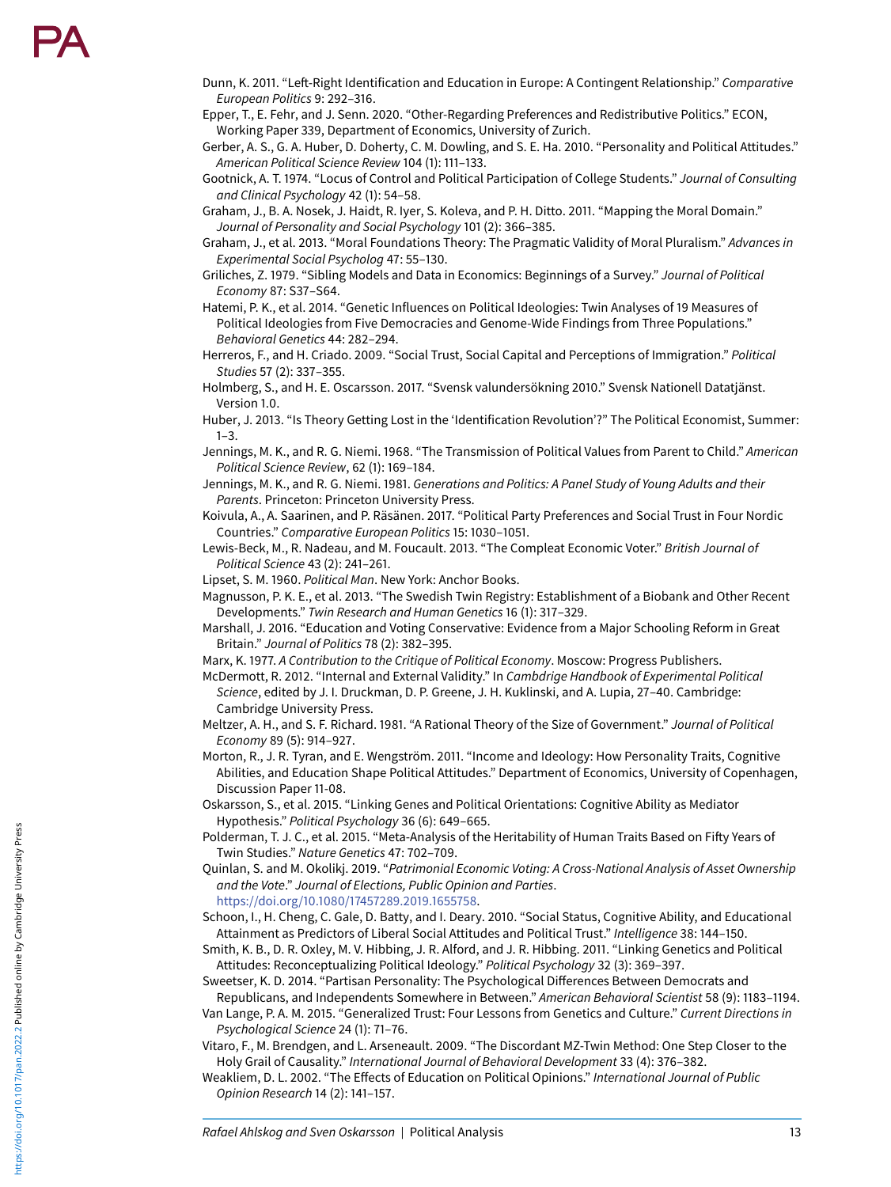- <span id="page-12-11"></span>Dunn, K. 2011. "Left-Right Identification and Education in Europe: A Contingent Relationship." Comparative European Politics 9: 292–316.
- <span id="page-12-20"></span>Epper, T., E. Fehr, and J. Senn. 2020. "Other-Regarding Preferences and Redistributive Politics." ECON, Working Paper 339, Department of Economics, University of Zurich.
- <span id="page-12-23"></span>Gerber, A. S., G. A. Huber, D. Doherty, C. M. Dowling, and S. E. Ha. 2010. "Personality and Political Attitudes." American Political Science Review 104 (1): 111–133.
- <span id="page-12-24"></span>Gootnick, A. T. 1974. "Locus of Control and Political Participation of College Students." Journal of Consulting and Clinical Psychology 42 (1): 54–58.
- <span id="page-12-22"></span>Graham, J., B. A. Nosek, J. Haidt, R. Iyer, S. Koleva, and P. H. Ditto. 2011. "Mapping the Moral Domain." Journal of Personality and Social Psychology 101 (2): 366–385.
- <span id="page-12-21"></span>Graham, J., et al. 2013. "Moral Foundations Theory: The Pragmatic Validity of Moral Pluralism." Advances in Experimental Social Psycholog 47: 55–130.
- <span id="page-12-30"></span>Griliches, Z. 1979. "Sibling Models and Data in Economics: Beginnings of a Survey." Journal of Political Economy 87: S37–S64.
- <span id="page-12-9"></span>Hatemi, P. K., et al. 2014. "Genetic Influences on Political Ideologies: Twin Analyses of 19 Measures of Political Ideologies from Five Democracies and Genome-Wide Findings from Three Populations." Behavioral Genetics 44: 282–294.
- <span id="page-12-19"></span>Herreros, F., and H. Criado. 2009. "Social Trust, Social Capital and Perceptions of Immigration." Political Studies 57 (2): 337–355.
- <span id="page-12-28"></span>Holmberg, S., and H. E. Oscarsson. 2017. "Svensk valundersökning 2010." Svensk Nationell Datatjänst. Version 1.0.
- <span id="page-12-0"></span>Huber, J. 2013. "Is Theory Getting Lost in the 'Identification Revolution'?" The Political Economist, Summer:  $1 - 3$ .
- <span id="page-12-3"></span>Jennings, M. K., and R. G. Niemi. 1968. "The Transmission of Political Values from Parent to Child." American Political Science Review, 62 (1): 169–184.
- <span id="page-12-4"></span>Jennings, M. K., and R. G. Niemi. 1981. Generations and Politics: A Panel Study of Young Adults and their Parents. Princeton: Princeton University Press.
- <span id="page-12-18"></span>Koivula, A., A. Saarinen, and P. Räsänen. 2017. "Political Party Preferences and Social Trust in Four Nordic Countries." Comparative European Politics 15: 1030–1051.
- <span id="page-12-14"></span>Lewis-Beck, M., R. Nadeau, and M. Foucault. 2013. "The Compleat Economic Voter." British Journal of Political Science 43 (2): 241–261.
- <span id="page-12-1"></span>Lipset, S. M. 1960. Political Man. New York: Anchor Books.
- <span id="page-12-29"></span>Magnusson, P. K. E., et al. 2013. "The Swedish Twin Registry: Establishment of a Biobank and Other Recent Developments." Twin Research and Human Genetics 16 (1): 317–329.
- <span id="page-12-13"></span>Marshall, J. 2016. "Education and Voting Conservative: Evidence from a Major Schooling Reform in Great Britain." Journal of Politics 78 (2): 382–395.
- <span id="page-12-2"></span>Marx, K. 1977. A Contribution to the Critique of Political Economy. Moscow: Progress Publishers.
- <span id="page-12-7"></span>McDermott, R. 2012. "Internal and External Validity." In Cambdrige Handbook of Experimental Political Science, edited by J. I. Druckman, D. P. Greene, J. H. Kuklinski, and A. Lupia, 27–40. Cambridge: Cambridge University Press.
- <span id="page-12-16"></span>Meltzer, A. H., and S. F. Richard. 1981. "A Rational Theory of the Size of Government." Journal of Political Economy 89 (5): 914–927.
- <span id="page-12-27"></span>Morton, R., J. R. Tyran, and E. Wengström. 2011. "Income and Ideology: How Personality Traits, Cognitive Abilities, and Education Shape Political Attitudes." Department of Economics, University of Copenhagen, Discussion Paper 11-08.
- <span id="page-12-5"></span>Oskarsson, S., et al. 2015. "Linking Genes and Political Orientations: Cognitive Ability as Mediator Hypothesis." Political Psychology 36 (6): 649–665.
- <span id="page-12-8"></span>Polderman, T. J. C., et al. 2015. "Meta-Analysis of the Heritability of Human Traits Based on Fifty Years of Twin Studies." Nature Genetics 47: 702–709.
- <span id="page-12-15"></span>Quinlan, S. and M. Okolikj. 2019. "Patrimonial Economic Voting: A Cross-National Analysis of Asset Ownership and the Vote." Journal of Elections, Public Opinion and Parties . <https://doi.org/10.1080/17457289.2019.1655758> .
- <span id="page-12-26"></span>Schoon, I., H. Cheng, C. Gale, D. Batty, and I. Deary. 2010. "Social Status, Cognitive Ability, and Educational Attainment as Predictors of Liberal Social Attitudes and Political Trust." Intelligence 38: 144–150.
- <span id="page-12-6"></span>Smith, K. B., D. R. Oxley, M. V. Hibbing, J. R. Alford, and J. R. Hibbing. 2011. "Linking Genetics and Political Attitudes: Reconceptualizing Political Ideology." Political Psychology 32 (3): 369–397.
- <span id="page-12-25"></span>Sweetser, K. D. 2014. "Partisan Personality: The Psychological Differences Between Democrats and Republicans, and Independents Somewhere in Between." American Behavioral Scientist 58 (9): 1183–1194.
- <span id="page-12-17"></span>Van Lange, P. A. M. 2015. "Generalized Trust: Four Lessons from Genetics and Culture." Current Directions in Psychological Science 24 (1): 71–76.
- <span id="page-12-10"></span>Vitaro, F., M. Brendgen, and L. Arseneault. 2009. "The Discordant MZ-Twin Method: One Step Closer to the Holy Grail of Causality." International Journal of Behavioral Development 33 (4): 376–382.
- <span id="page-12-12"></span>Weakliem, D. L. 2002. "The Effects of Education on Political Opinions." International Journal of Public Opinion Research 14 (2): 141–157.